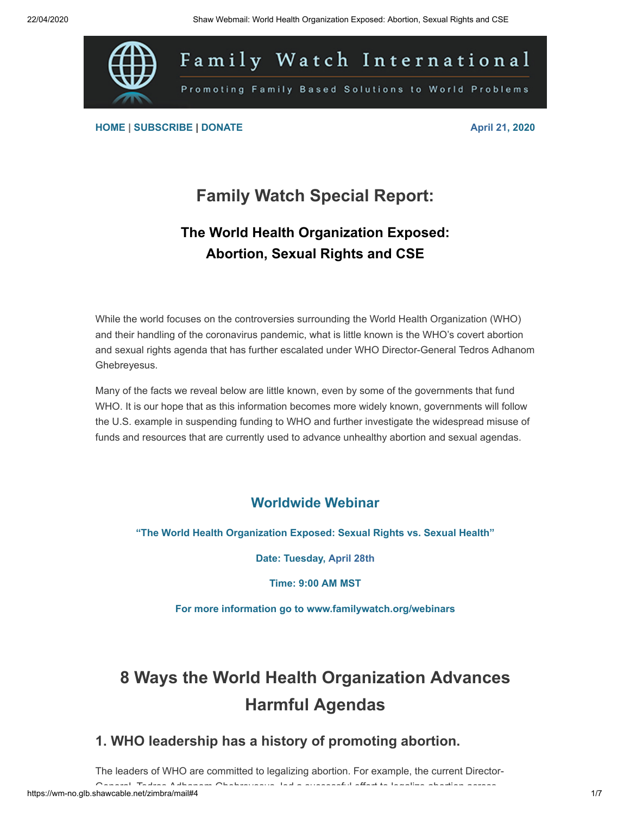

**[HOME](https://gq193.infusion-links.com/api/v1/click/5595012107337728/5411785544826880) | [SUBSCRIBE](https://gq193.infusion-links.com/api/v1/click/5190512590716928/5411785544826880) | [DONATE](https://gq193.infusion-links.com/api/v1/click/6048490189488128/5411785544826880) April 21, 2020**

## **Family Watch Special Report:**

#### **The World Health Organization Exposed: Abortion, Sexual Rights and CSE**

While the world focuses on the controversies surrounding the World Health Organization (WHO) and their handling of the coronavirus pandemic, what is little known is the WHO's covert abortion and sexual rights agenda that has further escalated under WHO Director-General Tedros Adhanom Ghebreyesus.

Many of the facts we reveal below are little known, even by some of the governments that fund WHO. It is our hope that as this information becomes more widely known, governments will follow the U.S. example in suspending funding to WHO and further investigate the widespread misuse of funds and resources that are currently used to advance unhealthy abortion and sexual agendas.

#### **Worldwide Webinar**

**"The World Health Organization Exposed: Sexual Rights vs. Sexual Health"**

**Date: Tuesday, April 28th**

**Time: 9:00 AM MST**

**For more information go to [www.familywatch.org/webinars](https://gq193.infusion-links.com/api/v1/click/5800141624442880/5411785544826880)**

# **8 Ways the World Health Organization Advances Harmful Agendas**

#### **1. WHO leadership has a history of promoting abortion.**

The leaders of WHO are committed to legalizing abortion. For example, the current Director-

General Tedros Adhanom Ghebreyesus led a successful effort to legalize abortion across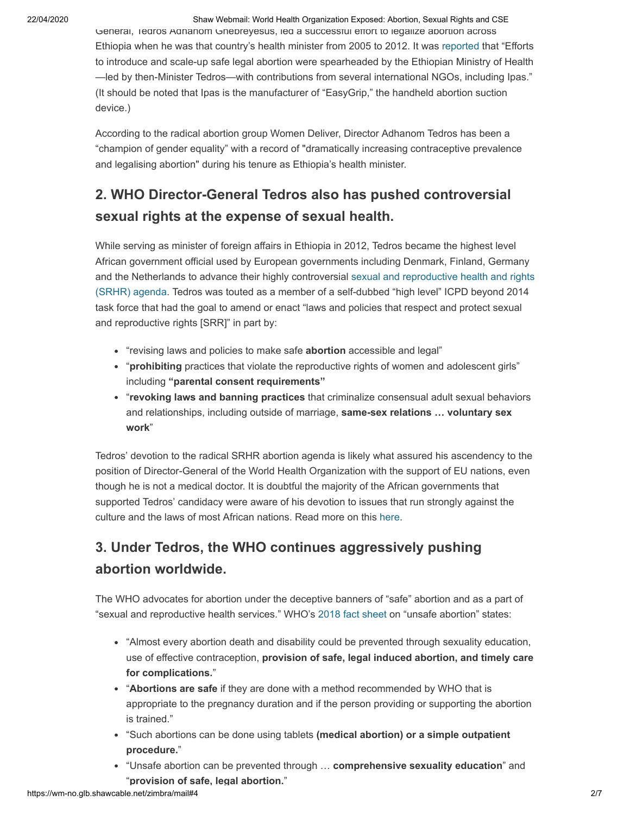22/04/2020 Shaw Webmail: World Health Organization Exposed: Abortion, Sexual Rights and CSE

General, Tedros Adhanom Ghebreyesus, led a successiul effort to legalize abortion across Ethiopia when he was that country's health minister from 2005 to 2012. It was [reported](https://gq193.infusion-links.com/api/v1/click/5357412067049472/5411785544826880) that "Efforts to introduce and scale-up safe legal abortion were spearheaded by the Ethiopian Ministry of Health —led by then-Minister Tedros—with contributions from several international NGOs, including Ipas." (It should be noted that Ipas is the manufacturer of "EasyGrip," the handheld abortion suction device.)

According to the radical abortion group Women Deliver, Director Adhanom Tedros has been a "champion of gender equality" with a record of "dramatically increasing contraceptive prevalence and legalising abortion" during his tenure as Ethiopia's health minister.

#### **2. WHO Director-General Tedros also has pushed controversial sexual rights at the expense of sexual health.**

While serving as minister of foreign affairs in Ethiopia in 2012, Tedros became the highest level African government official used by European governments including Denmark, Finland, Germany and the Netherlands to advance their highly controversial sexual and reproductive health and rights [\(SRHR\) agenda. Tedros was touted as a member of a self-dubbed "high level" ICPD beyond 2014](https://gq193.infusion-links.com/api/v1/click/4942479437332480/5411785544826880) task force that had the goal to amend or enact "laws and policies that respect and protect sexual and reproductive rights [SRR]" in part by:

- "revising laws and policies to make safe **abortion** accessible and legal"
- "**prohibiting** practices that violate the reproductive rights of women and adolescent girls" including **"parental consent requirements"**
- "**revoking laws and banning practices** that criminalize consensual adult sexual behaviors and relationships, including outside of marriage, **same-sex relations … voluntary sex work**"

Tedros' devotion to the radical SRHR abortion agenda is likely what assured his ascendency to the position of Director-General of the World Health Organization with the support of EU nations, even though he is not a medical doctor. It is doubtful the majority of the African governments that supported Tedros' candidacy were aware of his devotion to issues that run strongly against the culture and the laws of most African nations. Read more on this [here.](https://gq193.infusion-links.com/api/v1/click/6426849830502400/5411785544826880)

## **3. Under Tedros, the WHO continues aggressively pushing abortion worldwide.**

The WHO advocates for abortion under the deceptive banners of "safe" abortion and as a part of "sexual and reproductive health services." WHO's [2018 fact sheet](https://gq193.infusion-links.com/api/v1/click/4620037888147456/5411785544826880) on "unsafe abortion" states:

- "Almost every abortion death and disability could be prevented through sexuality education, use of effective contraception, **provision of safe, legal induced abortion, and timely care for complications.**"
- "**Abortions are safe** if they are done with a method recommended by WHO that is appropriate to the pregnancy duration and if the person providing or supporting the abortion is trained."
- "Such abortions can be done using tablets **(medical abortion) or a simple outpatient procedure.**"
- "Unsafe abortion can be prevented through … **comprehensive sexuality education**" and "**provision of safe, legal abortion.**"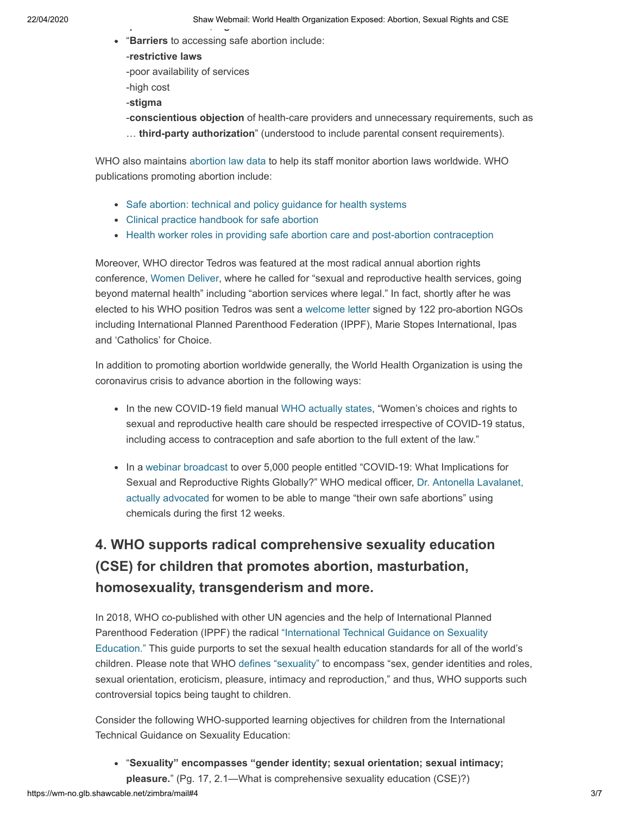- "**Barriers** to accessing safe abortion include:
	- -**restrictive laws**
	- -poor availability of services
	- -high cost
	- -**stigma**
	- -**conscientious objection** of health-care providers and unnecessary requirements, such as … **third-party authorization**" (understood to include parental consent requirements).

WHO also maintains [abortion law data](https://gq193.infusion-links.com/api/v1/click/6211047856537600/5411785544826880) to help its staff monitor abortion laws worldwide. WHO publications promoting abortion include:

- [Safe abortion: technical and policy guidance for health systems](https://gq193.infusion-links.com/api/v1/click/6720912014180352/5411785544826880)
- [Clinical practice handbook for safe abortion](https://gq193.infusion-links.com/api/v1/click/6350622348279808/5411785544826880)
- [Health worker roles in providing safe abortion care and post-abortion contraception](https://gq193.infusion-links.com/api/v1/click/6243656187772928/5411785544826880)

Moreover, WHO director Tedros was featured at the most radical annual abortion rights conference, [Women Deliver,](https://gq193.infusion-links.com/api/v1/click/4676845809958912/5411785544826880) where he called for "sexual and reproductive health services, going beyond maternal health" including "abortion services where legal." In fact, shortly after he was elected to his WHO position Tedros was sent a [welcome letter](https://gq193.infusion-links.com/api/v1/click/5485540236066816/5411785544826880) signed by 122 pro-abortion NGOs including International Planned Parenthood Federation (IPPF), Marie Stopes International, Ipas and 'Catholics' for Choice.

In addition to promoting abortion worldwide generally, the World Health Organization is using the coronavirus crisis to advance abortion in the following ways:

- In the new COVID-19 field manual [WHO actually states,](https://gq193.infusion-links.com/api/v1/click/6334671745712128/5411785544826880) "Women's choices and rights to sexual and reproductive health care should be respected irrespective of COVID-19 status, including access to contraception and safe abortion to the full extent of the law."
- In a [webinar broadcast](https://gq193.infusion-links.com/api/v1/click/5865684805091328/5411785544826880) to over 5,000 people entitled "COVID-19: What Implications for [Sexual and Reproductive Rights Globally?" WHO medical officer,](https://gq193.infusion-links.com/api/v1/click/6643564820561920/5411785544826880) Dr. Antonella Lavalanet, actually advocated for women to be able to mange "their own safe abortions" using chemicals during the first 12 weeks.

#### **4. WHO supports radical comprehensive sexuality education (CSE) for children that promotes abortion, masturbation, homosexuality, transgenderism and more.**

In 2018, WHO co-published with other UN agencies and the help of International Planned Parenthood Federation (IPPF) the radical "International Technical Guidance on Sexuality Education." [This guide purports to set the sexual health education standards for all of the](https://gq193.infusion-links.com/api/v1/click/4803672972984320/5411785544826880) world's children. Please note that WHO [defines "sexuality"](https://gq193.infusion-links.com/api/v1/click/6068379344175104/5411785544826880) to encompass "sex, gender identities and roles, sexual orientation, eroticism, pleasure, intimacy and reproduction," and thus, WHO supports such controversial topics being taught to children.

Consider the following WHO-supported learning objectives for children from the International Technical Guidance on Sexuality Education:

- "**Sexuality" encompasses "gender identity; sexual orientation; sexual intimacy;**
- **pleasure.**" (Pg. 17, 2.1—What is comprehensive sexuality education (CSE)?)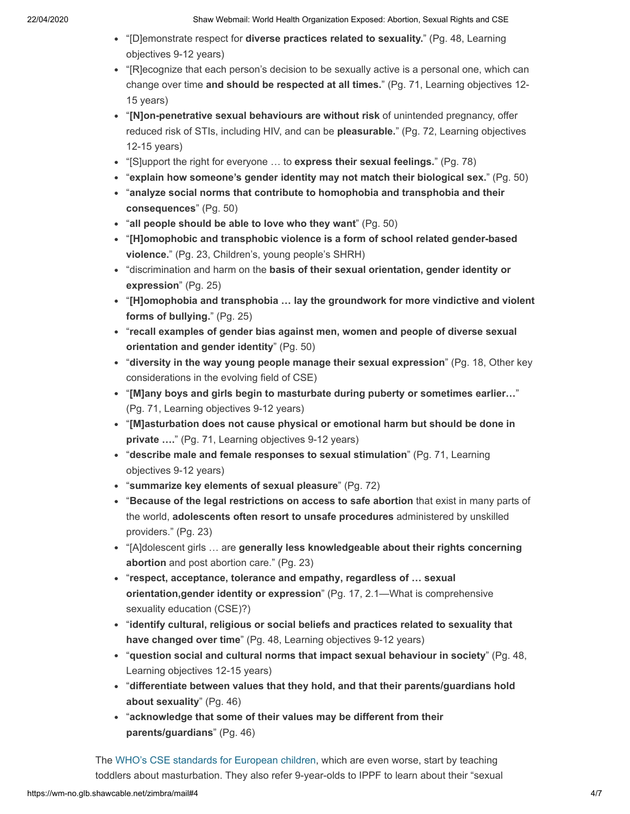- "[D]emonstrate respect for **diverse practices related to sexuality.**" (Pg. 48, Learning objectives 9-12 years)
- "[R]ecognize that each person's decision to be sexually active is a personal one, which can change over time **and should be respected at all times.**" (Pg. 71, Learning objectives 12- 15 years)
- "**[N]on-penetrative sexual behaviours are without risk** of unintended pregnancy, offer reduced risk of STIs, including HIV, and can be **pleasurable.**" (Pg. 72, Learning objectives 12-15 years)
- "[S]upport the right for everyone … to **express their sexual feelings.**" (Pg. 78)
- "**explain how someone's gender identity may not match their biological sex.**" (Pg. 50)
- "**analyze social norms that contribute to homophobia and transphobia and their consequences**" (Pg. 50)
- "**all people should be able to love who they want**" (Pg. 50)
- "**[H]omophobic and transphobic violence is a form of school related gender-based violence.**" (Pg. 23, Children's, young people's SHRH)
- "discrimination and harm on the **basis of their sexual orientation, gender identity or expression**" (Pg. 25)
- "**[H]omophobia and transphobia … lay the groundwork for more vindictive and violent forms of bullying.**" (Pg. 25)
- "**recall examples of gender bias against men, women and people of diverse sexual orientation and gender identity**" (Pg. 50)
- "**diversity in the way young people manage their sexual expression**" (Pg. 18, Other key considerations in the evolving field of CSE)
- "**[M]any boys and girls begin to masturbate during puberty or sometimes earlier…**" (Pg. 71, Learning objectives 9-12 years)
- "**[M]asturbation does not cause physical or emotional harm but should be done in private ….**" (Pg. 71, Learning objectives 9-12 years)
- "**describe male and female responses to sexual stimulation**" (Pg. 71, Learning objectives 9-12 years)
- "**summarize key elements of sexual pleasure**" (Pg. 72)
- "**Because of the legal restrictions on access to safe abortion** that exist in many parts of the world, **adolescents often resort to unsafe procedures** administered by unskilled providers." (Pg. 23)
- "[A]dolescent girls … are **generally less knowledgeable about their rights concerning abortion** and post abortion care." (Pg. 23)
- "**respect, acceptance, tolerance and empathy, regardless of … sexual orientation,gender identity or expression**" (Pg. 17, 2.1—What is comprehensive sexuality education (CSE)?)
- "**identify cultural, religious or social beliefs and practices related to sexuality that have changed over time**" (Pg. 48, Learning objectives 9-12 years)
- "**question social and cultural norms that impact sexual behaviour in society**" (Pg. 48, Learning objectives 12-15 years)
- "**differentiate between values that they hold, and that their parents/guardians hold about sexuality**" (Pg. 46)
- "**acknowledge that some of their values may be different from their parents/guardians**" (Pg. 46)

The [WHO's CSE standards for European children](https://gq193.infusion-links.com/api/v1/click/5302734851670016/5411785544826880), which are even worse, start by teaching toddlers about masturbation. They also refer 9-year-olds to IPPF to learn about their "sexual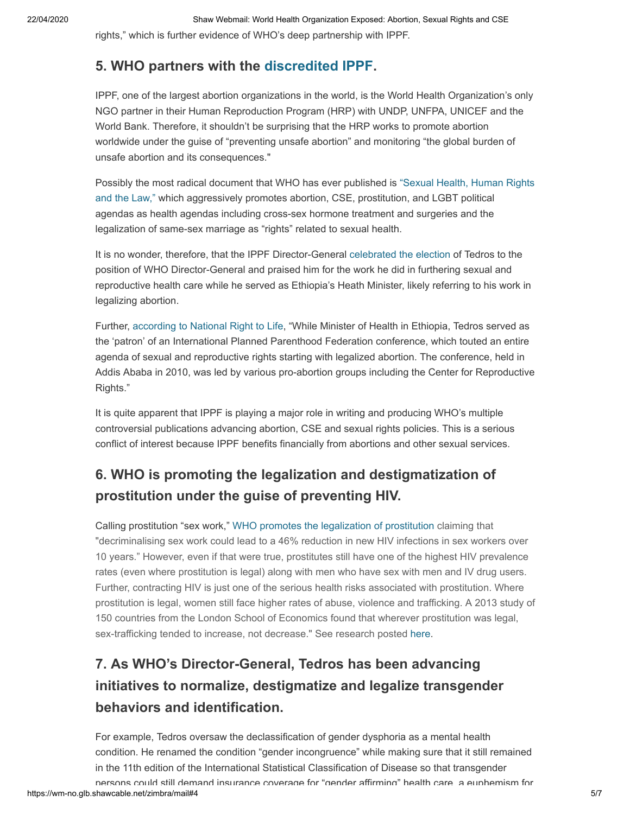rights," which is further evidence of WHO's deep partnership with IPPF.

#### **5. WHO partners with the [discredited IPPF.](https://gq193.infusion-links.com/api/v1/click/4836281304219648/5411785544826880)**

IPPF, one of the largest abortion organizations in the world, is the World Health Organization's only NGO partner in their Human Reproduction Program (HRP) with UNDP, UNFPA, UNICEF and the World Bank. Therefore, it shouldn't be surprising that the HRP works to promote abortion worldwide under the guise of "preventing unsafe abortion" and monitoring "the global burden of unsafe abortion and its consequences."

Possibly the most radical document that WHO has ever published is "Sexual Health, Human Rights and the Law," [which aggressively promotes abortion, CSE, prostitution, and LGBT political](https://gq193.infusion-links.com/api/v1/click/4521888758628352/5411785544826880) agendas as health agendas including cross-sex hormone treatment and surgeries and the legalization of same-sex marriage as "rights" related to sexual health.

It is no wonder, therefore, that the IPPF Director-General [celebrated the election](https://gq193.infusion-links.com/api/v1/click/5376110240727040/5411785544826880) of Tedros to the position of WHO Director-General and praised him for the work he did in furthering sexual and reproductive health care while he served as Ethiopia's Heath Minister, likely referring to his work in legalizing abortion.

Further, [according to National Right to Life,](https://gq193.infusion-links.com/api/v1/click/6053196769001472/5411785544826880) "While Minister of Health in Ethiopia, Tedros served as the 'patron' of an International Planned Parenthood Federation conference, which touted an entire agenda of sexual and reproductive rights starting with legalized abortion. The conference, held in Addis Ababa in 2010, was led by various pro-abortion groups including the Center for Reproductive Rights."

It is quite apparent that IPPF is playing a major role in writing and producing WHO's multiple controversial publications advancing abortion, CSE and sexual rights policies. This is a serious conflict of interest because IPPF benefits financially from abortions and other sexual services.

#### **6. WHO is promoting the legalization and destigmatization of prostitution under the guise of preventing HIV.**

Calling prostitution "sex work," [WHO promotes the legalization of prostitution](https://gq193.infusion-links.com/api/v1/click/4602871239409664/5411785544826880) claiming that "decriminalising sex work could lead to a 46% reduction in new HIV infections in sex workers over 10 years." However, even if that were true, prostitutes still have one of the highest HIV prevalence rates (even where prostitution is legal) along with men who have sex with men and IV drug users. Further, contracting HIV is just one of the serious health risks associated with prostitution. Where prostitution is legal, women still face higher rates of abuse, violence and trafficking. A 2013 study of 150 countries from the London School of Economics found that wherever prostitution was legal, sex-trafficking tended to increase, not decrease." See research posted [here](https://gq193.infusion-links.com/api/v1/click/5647788665470976/5411785544826880).

## **7. As WHO's Director-General, Tedros has been advancing initiatives to normalize, destigmatize and legalize transgender behaviors and identification.**

For example, Tedros oversaw the declassification of gender dysphoria as a mental health condition. He renamed the condition "gender incongruence" while making sure that it still remained in the 11th edition of the International Statistical Classification of Disease so that transgender

https://wm-no.glb.shawcable.net/zimbra/mail#4 5/7 persons could still demand insurance coverage for "gender affirming" health care a euphemism for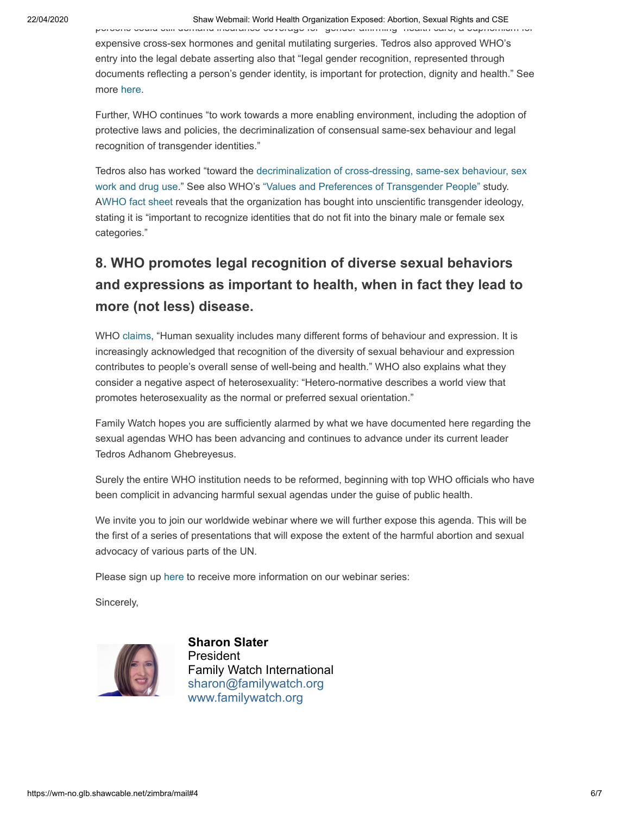#### 22/04/2020 Shaw Webmail: World Health Organization Exposed: Abortion, Sexual Rights and CSE

persons could still demand insurance coverage for gender affirming health care, a euphemism for expensive cross-sex hormones and genital mutilating surgeries. Tedros also approved WHO's entry into the legal debate asserting also that "Iegal gender recognition, represented through documents reflecting a person's gender identity, is important for protection, dignity and health." See more [here](https://gq193.infusion-links.com/api/v1/click/4781852794290176/5411785544826880).

Further, WHO continues "to work towards a more enabling environment, including the adoption of protective laws and policies, the decriminalization of consensual same-sex behaviour and legal recognition of transgender identities."

Tedros also has worked "toward the [decriminalization of cross-dressing, same-sex behaviour, sex](https://gq193.infusion-links.com/api/v1/click/6502010147569664/5411785544826880) work and drug use." See also WHO's ["Values and Preferences of Transgender People"](https://gq193.infusion-links.com/api/v1/click/5490246815580160/5411785544826880) study. A[WHO fact sheet](https://gq193.infusion-links.com/api/v1/click/5117336984748032/5411785544826880) reveals that the organization has bought into unscientific transgender ideology, stating it is "important to recognize identities that do not fit into the binary male or female sex categories."

## **8. WHO promotes legal recognition of diverse sexual behaviors and expressions as important to health, when in fact they lead to more (not less) disease.**

WHO [claims,](https://gq193.infusion-links.com/api/v1/click/6631329297596416/5411785544826880) "Human sexuality includes many different forms of behaviour and expression. It is increasingly acknowledged that recognition of the diversity of sexual behaviour and expression contributes to people's overall sense of well-being and health." WHO also explains what they consider a negative aspect of heterosexuality: "Hetero-normative describes a world view that promotes heterosexuality as the normal or preferred sexual orientation."

Family Watch hopes you are sufficiently alarmed by what we have documented here regarding the sexual agendas WHO has been advancing and continues to advance under its current leader Tedros Adhanom Ghebreyesus.

Surely the entire WHO institution needs to be reformed, beginning with top WHO officials who have been complicit in advancing harmful sexual agendas under the guise of public health.

We invite you to join our worldwide webinar where we will further expose this agenda. This will be the first of a series of presentations that will expose the extent of the harmful abortion and sexual advocacy of various parts of the UN.

Please sign up [here](https://gq193.infusion-links.com/api/v1/click/5084838712049664/5411785544826880) to receive more information on our webinar series:

Sincerely,



**Sharon Slater President** Family Watch International sharon@familywatch.org [www.familywatch.org](http://www.familywatch.org/)